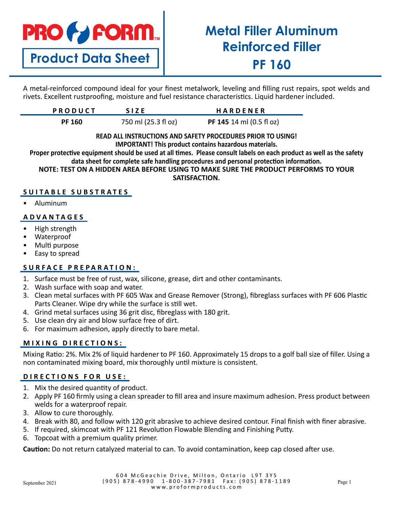# **PRO & FORM.**

**Product Data Sheet**

## **Metal Filler Aluminum Reinforced Filler PF 160**

A metal-reinforced compound ideal for your finest metalwork, leveling and filling rust repairs, spot welds and rivets. Excellent rustproofing, moisture and fuel resistance characteristics. Liquid hardener included.

| <b>PRODUCT</b> | <b>SIZE</b>         | <b>HARDENER</b>                           |
|----------------|---------------------|-------------------------------------------|
| <b>PF 160</b>  | 750 ml (25.3 fl oz) | <b>PF 145</b> 14 ml $(0.5 \text{ fl oz})$ |

### **READ ALL INSTRUCTIONS AND SAFETY PROCEDURES PRIOR TO USING!**

**IMPORTANT! This product contains hazardous materials.**

**Proper protective equipment should be used at all times. Please consult labels on each product as well as the safety data sheet for complete safe handling procedures and personal protection information.**

**NOTE: TEST ON A HIDDEN AREA BEFORE USING TO MAKE SURE THE PRODUCT PERFORMS TO YOUR SATISFACTION.**

### **SUITABLE SUBSTRATES**

• Aluminum

### **ADVANTAGES**

- High strength
- Waterproof
- Multi purpose
- Easy to spread

### **SURFACE PREPARATION:**

- 1. Surface must be free of rust, wax, silicone, grease, dirt and other contaminants.
- 2. Wash surface with soap and water.
- 3. Clean metal surfaces with PF 605 Wax and Grease Remover (Strong), fibreglass surfaces with PF 606 Plastic Parts Cleaner. Wipe dry while the surface is still wet.
- 4. Grind metal surfaces using 36 grit disc, fibreglass with 180 grit.
- 5. Use clean dry air and blow surface free of dirt.
- 6. For maximum adhesion, apply directly to bare metal.

### **MIXING DIRECTIONS:**

Mixing Ratio: 2%. Mix 2% of liquid hardener to PF 160. Approximately 15 drops to a golf ball size of filler. Using a non contaminated mixing board, mix thoroughly until mixture is consistent.

### **DIRECTIONS FOR USE:**

- 1. Mix the desired quantity of product.
- 2. Apply PF 160 firmly using a clean spreader to fill area and insure maximum adhesion. Press product between welds for a waterproof repair.
- 3. Allow to cure thoroughly.
- 4. Break with 80, and follow with 120 grit abrasive to achieve desired contour. Final finish with finer abrasive.
- 5. If required, skimcoat with PF 121 Revolution Flowable Blending and Finishing Putty.
- 6. Topcoat with a premium quality primer.

**Caution:** Do not return catalyzed material to can. To avoid contamination, keep cap closed after use.